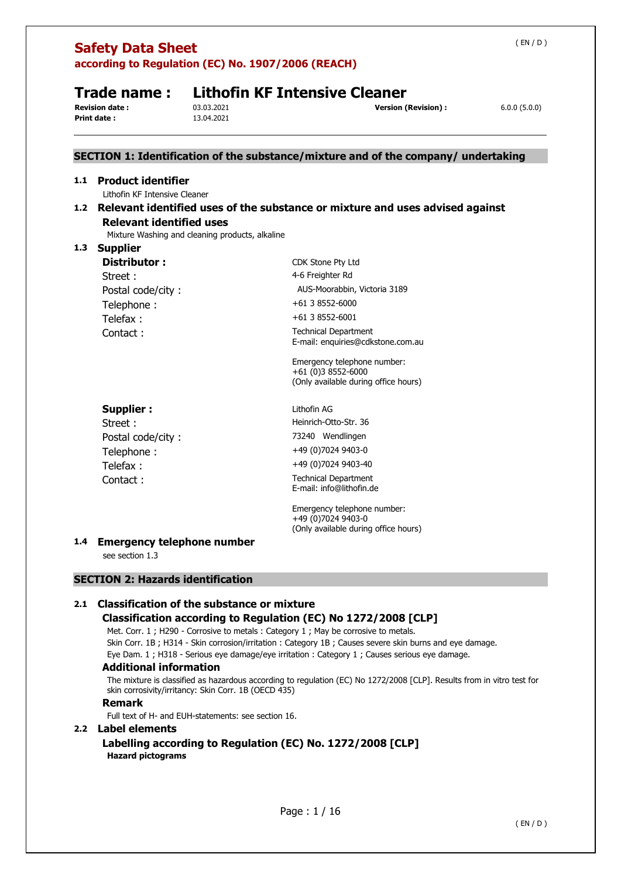|                                             | according to Regulation (EC) No. 1907/2006 (REACH)<br><b>Lithofin KF Intensive Cleaner</b><br>Trade name : |                                                 |                                                                                           |              |  |  |
|---------------------------------------------|------------------------------------------------------------------------------------------------------------|-------------------------------------------------|-------------------------------------------------------------------------------------------|--------------|--|--|
| <b>Revision date:</b><br><b>Print date:</b> |                                                                                                            | 03.03.2021<br>13.04.2021                        | <b>Version (Revision):</b>                                                                | 6.0.0(5.0.0) |  |  |
|                                             |                                                                                                            |                                                 | SECTION 1: Identification of the substance/mixture and of the company/ undertaking        |              |  |  |
| 1.1                                         | <b>Product identifier</b><br>Lithofin KF Intensive Cleaner                                                 |                                                 |                                                                                           |              |  |  |
| 1.2                                         | <b>Relevant identified uses</b>                                                                            | Mixture Washing and cleaning products, alkaline | Relevant identified uses of the substance or mixture and uses advised against             |              |  |  |
| 1.3                                         | <b>Supplier</b>                                                                                            |                                                 |                                                                                           |              |  |  |
|                                             | Distributor:                                                                                               |                                                 | CDK Stone Pty Ltd                                                                         |              |  |  |
|                                             | Street:                                                                                                    |                                                 | 4-6 Freighter Rd                                                                          |              |  |  |
|                                             | Postal code/city:                                                                                          |                                                 | AUS-Moorabbin, Victoria 3189                                                              |              |  |  |
|                                             | Telephone:                                                                                                 |                                                 | +61 3 8552-6000                                                                           |              |  |  |
|                                             | Telefax:                                                                                                   |                                                 | +61 3 8552-6001                                                                           |              |  |  |
|                                             | Contact:                                                                                                   |                                                 | <b>Technical Department</b><br>E-mail: enquiries@cdkstone.com.au                          |              |  |  |
|                                             |                                                                                                            |                                                 | Emergency telephone number:<br>+61 (0)3 8552-6000<br>(Only available during office hours) |              |  |  |
|                                             | <b>Supplier:</b>                                                                                           |                                                 | Lithofin AG                                                                               |              |  |  |
|                                             | Street:                                                                                                    |                                                 | Heinrich-Otto-Str. 36                                                                     |              |  |  |
|                                             | Postal code/city:                                                                                          |                                                 | 73240 Wendlingen                                                                          |              |  |  |
|                                             | Telephone:                                                                                                 |                                                 | +49 (0) 7024 9403-0                                                                       |              |  |  |
|                                             | Telefax:                                                                                                   |                                                 | +49 (0) 7024 9403-40                                                                      |              |  |  |
|                                             | Contact:                                                                                                   |                                                 | <b>Technical Department</b><br>E-mail: info@lithofin.de                                   |              |  |  |
|                                             |                                                                                                            |                                                 | Emergency telephone number:<br>+49 (0)7024 9403-0<br>(Only available during office hours) |              |  |  |
| 1.4                                         | <b>Emergency telephone number</b><br>see section 1.3                                                       |                                                 |                                                                                           |              |  |  |
|                                             | <b>SECTION 2: Hazards identification</b>                                                                   |                                                 |                                                                                           |              |  |  |
|                                             |                                                                                                            |                                                 |                                                                                           |              |  |  |

Skin Corr. 1B ; H314 - Skin corrosion/irritation : Category 1B ; Causes severe skin burns and eye damage.

Eye Dam. 1 ; H318 - Serious eye damage/eye irritation : Category 1 ; Causes serious eye damage.

### **Additional information**

The mixture is classified as hazardous according to regulation (EC) No 1272/2008 [CLP]. Results from in vitro test for skin corrosivity/irritancy: Skin Corr. 1B (OECD 435)

### **Remark**

Full text of H- and EUH-statements: see section 16.

### **2.2 Label elements**

**Labelling according to Regulation (EC) No. 1272/2008 [CLP] Hazard pictograms**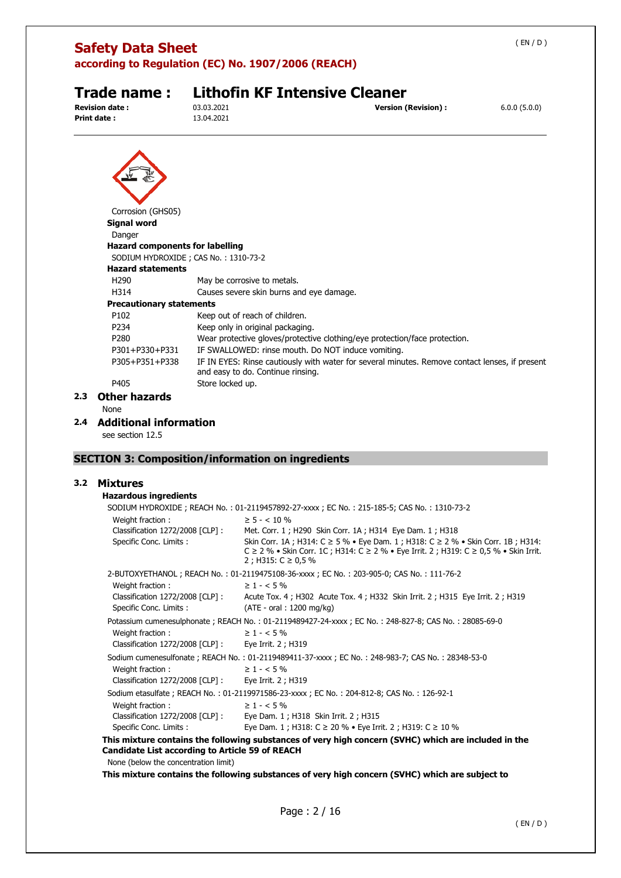**according to Regulation (EC) No. 1907/2006 (REACH)** 

**Print date :** 13.04.2021

# **Trade name : Lithofin KF Intensive Cleaner**<br>Revision date : 03.03.2021

**Version (Revision) :**  $6.0.0$  (5.0.0)

| Corrosion (GHS05)                      |                                                                                                                                     |
|----------------------------------------|-------------------------------------------------------------------------------------------------------------------------------------|
| <b>Signal word</b>                     |                                                                                                                                     |
| Danger                                 |                                                                                                                                     |
| <b>Hazard components for labelling</b> | SODIUM HYDROXIDE; CAS No.: 1310-73-2                                                                                                |
| <b>Hazard statements</b>               |                                                                                                                                     |
| H <sub>290</sub>                       | May be corrosive to metals.                                                                                                         |
| H314                                   | Causes severe skin burns and eye damage.                                                                                            |
| <b>Precautionary statements</b>        |                                                                                                                                     |
| P <sub>102</sub>                       | Keep out of reach of children.                                                                                                      |
| P234                                   | Keep only in original packaging.                                                                                                    |
| P <sub>280</sub>                       | Wear protective gloves/protective clothing/eye protection/face protection.                                                          |
| P301+P330+P331                         | IF SWALLOWED: rinse mouth. Do NOT induce vomiting.                                                                                  |
| P305+P351+P338                         | IF IN EYES: Rinse cautiously with water for several minutes. Remove contact lenses, if present<br>and easy to do. Continue rinsing. |
| P405                                   | Store locked up.                                                                                                                    |
| <b>Other hazards</b>                   |                                                                                                                                     |
| <b>Nono</b>                            |                                                                                                                                     |

None

#### **2.4 Additional information**

see section 12.5

### **SECTION 3: Composition/information on ingredients**

### **3.2 Mixtures**

| <b>Hazardous ingredients</b>                                                              |                                                                                                                                                                                                                 |  |  |  |  |
|-------------------------------------------------------------------------------------------|-----------------------------------------------------------------------------------------------------------------------------------------------------------------------------------------------------------------|--|--|--|--|
| SODIUM HYDROXIDE; REACH No.: 01-2119457892-27-xxxx; EC No.: 215-185-5; CAS No.: 1310-73-2 |                                                                                                                                                                                                                 |  |  |  |  |
| Weight fraction:                                                                          | $\geq 5 - < 10 \%$                                                                                                                                                                                              |  |  |  |  |
| Classification 1272/2008 [CLP]:                                                           | Met. Corr. 1; H290 Skin Corr. 1A; H314 Eye Dam. 1; H318                                                                                                                                                         |  |  |  |  |
| Specific Conc. Limits :                                                                   | Skin Corr. 1A; H314: C ≥ 5 % • Eye Dam. 1; H318: C ≥ 2 % • Skin Corr. 1B; H314:<br>$C \ge 2$ % • Skin Corr. 1C ; H314: $C \ge 2$ % • Eye Irrit. 2 ; H319: $C \ge 0.5$ % • Skin Irrit.<br>2; H315: $C \ge 0.5$ % |  |  |  |  |
|                                                                                           | 2-BUTOXYETHANOL; REACH No.: 01-2119475108-36-xxxx; EC No.: 203-905-0; CAS No.: 111-76-2                                                                                                                         |  |  |  |  |
| Weight fraction:                                                                          | $\geq 1 - 5\%$                                                                                                                                                                                                  |  |  |  |  |
| Classification 1272/2008 [CLP] :                                                          | Acute Tox. 4; H302 Acute Tox. 4; H332 Skin Irrit. 2; H315 Eye Irrit. 2; H319                                                                                                                                    |  |  |  |  |
| Specific Conc. Limits :                                                                   | $(ATE - oral : 1200 mg/kg)$                                                                                                                                                                                     |  |  |  |  |
|                                                                                           | Potassium cumenesulphonate; REACH No.: 01-2119489427-24-xxxx; EC No.: 248-827-8; CAS No.: 28085-69-0                                                                                                            |  |  |  |  |
| Weight fraction:                                                                          | $\geq 1 - 5\%$                                                                                                                                                                                                  |  |  |  |  |
| Classification 1272/2008 [CLP] : Eye Irrit. 2 ; H319                                      |                                                                                                                                                                                                                 |  |  |  |  |
|                                                                                           | Sodium cumenesulfonate; REACH No.: 01-2119489411-37-xxxx; EC No.: 248-983-7; CAS No.: 28348-53-0                                                                                                                |  |  |  |  |
| Weight fraction:                                                                          | $\geq 1 - 5\%$                                                                                                                                                                                                  |  |  |  |  |
| Classification 1272/2008 [CLP] :                                                          | Eye Irrit. 2; H319                                                                                                                                                                                              |  |  |  |  |
| Sodium etasulfate; REACH No.: 01-2119971586-23-xxxx; EC No.: 204-812-8; CAS No.: 126-92-1 |                                                                                                                                                                                                                 |  |  |  |  |
| Weight fraction:                                                                          | $\geq 1 - 5\%$                                                                                                                                                                                                  |  |  |  |  |
| Classification 1272/2008 [CLP]:                                                           | Eye Dam. 1 ; H318 Skin Irrit. 2 ; H315                                                                                                                                                                          |  |  |  |  |
| Specific Conc. Limits :                                                                   | Eye Dam. 1 ; H318: C $\geq$ 20 % • Eye Irrit. 2 ; H319: C $\geq$ 10 %                                                                                                                                           |  |  |  |  |
|                                                                                           | This mixture contains the following substances of very high concern (SVHC) which are included in the                                                                                                            |  |  |  |  |

## **Candidate List according to Article 59 of REACH**

None (below the concentration limit)

**This mixture contains the following substances of very high concern (SVHC) which are subject to**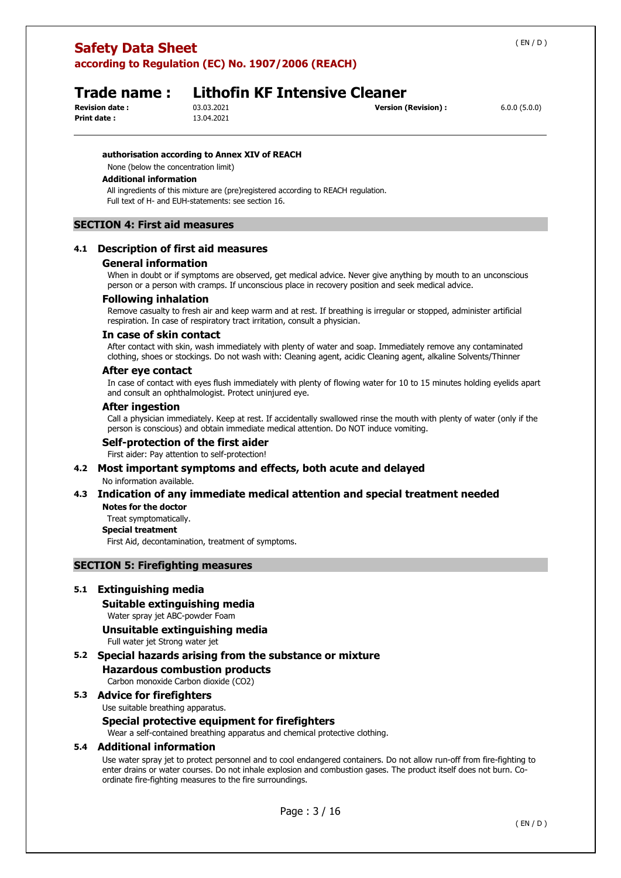**according to Regulation (EC) No. 1907/2006 (REACH)** 

**Print date :** 13.04.2021

### **Trade name : Lithofin KF Intensive Cleaner**

**Revision date :** 03.03.2021 **Version (Revision) :** 6.0.0 (5.0.0)

#### **authorisation according to Annex XIV of REACH**

None (below the concentration limit)

#### **Additional information**

All ingredients of this mixture are (pre)registered according to REACH regulation. Full text of H- and EUH-statements: see section 16.

### **SECTION 4: First aid measures**

#### **4.1 Description of first aid measures**

#### **General information**

When in doubt or if symptoms are observed, get medical advice. Never give anything by mouth to an unconscious person or a person with cramps. If unconscious place in recovery position and seek medical advice.

#### **Following inhalation**

Remove casualty to fresh air and keep warm and at rest. If breathing is irregular or stopped, administer artificial respiration. In case of respiratory tract irritation, consult a physician.

#### **In case of skin contact**

After contact with skin, wash immediately with plenty of water and soap. Immediately remove any contaminated clothing, shoes or stockings. Do not wash with: Cleaning agent, acidic Cleaning agent, alkaline Solvents/Thinner

#### **After eye contact**

In case of contact with eyes flush immediately with plenty of flowing water for 10 to 15 minutes holding eyelids apart and consult an ophthalmologist. Protect uninjured eye.

#### **After ingestion**

Call a physician immediately. Keep at rest. If accidentally swallowed rinse the mouth with plenty of water (only if the person is conscious) and obtain immediate medical attention. Do NOT induce vomiting.

#### **Self-protection of the first aider**

First aider: Pay attention to self-protection!

#### **4.2 Most important symptoms and effects, both acute and delayed**  No information available.

#### **4.3 Indication of any immediate medical attention and special treatment needed Notes for the doctor**

Treat symptomatically.

#### **Special treatment**

First Aid, decontamination, treatment of symptoms.

### **SECTION 5: Firefighting measures**

#### **5.1 Extinguishing media**

**Suitable extinguishing media** 

Water spray jet ABC-powder Foam

#### **Unsuitable extinguishing media**

Full water jet Strong water jet

**5.2 Special hazards arising from the substance or mixture Hazardous combustion products**  Carbon monoxide Carbon dioxide (CO2)

#### **5.3 Advice for firefighters**

Use suitable breathing apparatus.

#### **Special protective equipment for firefighters**

Wear a self-contained breathing apparatus and chemical protective clothing.

#### **5.4 Additional information**

Use water spray jet to protect personnel and to cool endangered containers. Do not allow run-off from fire-fighting to enter drains or water courses. Do not inhale explosion and combustion gases. The product itself does not burn. Coordinate fire-fighting measures to the fire surroundings.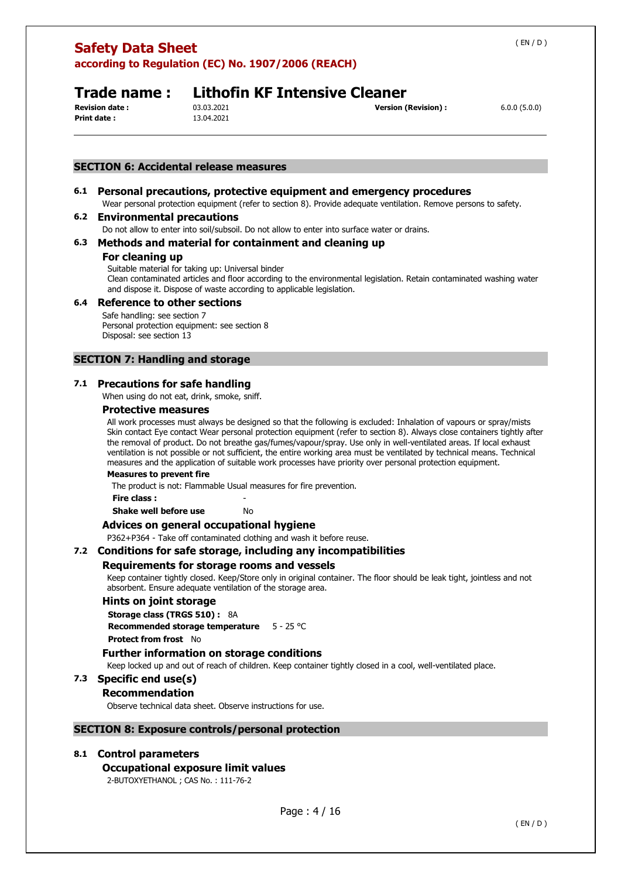**according to Regulation (EC) No. 1907/2006 (REACH)** 

**Print date :** 13.04.2021

### **Trade name : Lithofin KF Intensive Cleaner**

**Revision date :** 03.03.2021 **Version (Revision) :** 6.0.0 (5.0.0)

#### **SECTION 6: Accidental release measures**

#### **6.1 Personal precautions, protective equipment and emergency procedures**

Wear personal protection equipment (refer to section 8). Provide adequate ventilation. Remove persons to safety.

#### **6.2 Environmental precautions**

Do not allow to enter into soil/subsoil. Do not allow to enter into surface water or drains.

#### **6.3 Methods and material for containment and cleaning up**

#### **For cleaning up**

Suitable material for taking up: Universal binder Clean contaminated articles and floor according to the environmental legislation. Retain contaminated washing water and dispose it. Dispose of waste according to applicable legislation.

#### **6.4 Reference to other sections**

Safe handling: see section 7 Personal protection equipment: see section 8 Disposal: see section 13

#### **SECTION 7: Handling and storage**

#### **7.1 Precautions for safe handling**

When using do not eat, drink, smoke, sniff.

#### **Protective measures**

All work processes must always be designed so that the following is excluded: Inhalation of vapours or spray/mists Skin contact Eye contact Wear personal protection equipment (refer to section 8). Always close containers tightly after the removal of product. Do not breathe gas/fumes/vapour/spray. Use only in well-ventilated areas. If local exhaust ventilation is not possible or not sufficient, the entire working area must be ventilated by technical means. Technical measures and the application of suitable work processes have priority over personal protection equipment.

#### **Measures to prevent fire**

The product is not: Flammable Usual measures for fire prevention.

**Fire class :** - **Shake well before use** No

## **Advices on general occupational hygiene**

P362+P364 - Take off contaminated clothing and wash it before reuse.

## **7.2 Conditions for safe storage, including any incompatibilities**

#### **Requirements for storage rooms and vessels**

Keep container tightly closed. Keep/Store only in original container. The floor should be leak tight, jointless and not absorbent. Ensure adequate ventilation of the storage area.

#### **Hints on joint storage**

**Storage class (TRGS 510) :** 8A **Recommended storage temperature** 5 - 25 °C

**Protect from frost** No

#### **Further information on storage conditions**

Keep locked up and out of reach of children. Keep container tightly closed in a cool, well-ventilated place.

### **7.3 Specific end use(s)**

#### **Recommendation**

Observe technical data sheet. Observe instructions for use.

#### **SECTION 8: Exposure controls/personal protection**

#### **8.1 Control parameters**

#### **Occupational exposure limit values**

2-BUTOXYETHANOL ; CAS No. : 111-76-2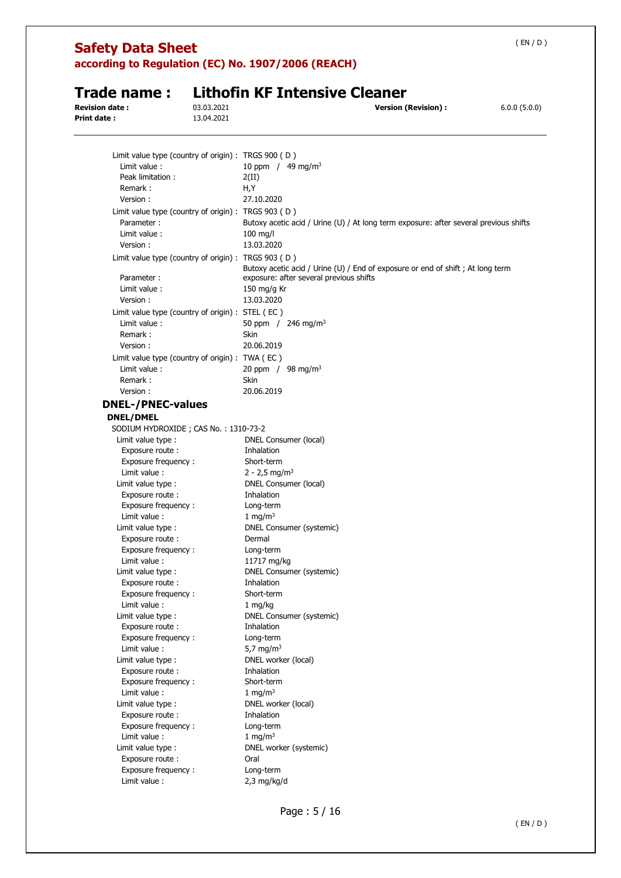| <b>Safety Data Sheet</b>                                         |            | according to Regulation (EC) No. 1907/2006 (REACH) |                                                                                       | (EN/D)       |
|------------------------------------------------------------------|------------|----------------------------------------------------|---------------------------------------------------------------------------------------|--------------|
|                                                                  |            |                                                    |                                                                                       |              |
| <b>Trade name :</b><br><b>Revision date:</b>                     | 03.03.2021 | <b>Lithofin KF Intensive Cleaner</b>               | <b>Version (Revision):</b>                                                            |              |
| Print date :                                                     | 13.04.2021 |                                                    |                                                                                       | 6.0.0(5.0.0) |
| Limit value type (country of origin) : TRGS 900 (D)              |            |                                                    |                                                                                       |              |
| Limit value:                                                     |            | 10 ppm / $49 \text{ mg/m}^3$                       |                                                                                       |              |
| Peak limitation:                                                 |            | 2(II)                                              |                                                                                       |              |
| Remark:                                                          |            | H,Y                                                |                                                                                       |              |
| Version:                                                         |            | 27.10.2020                                         |                                                                                       |              |
| Limit value type (country of origin) : TRGS 903 (D)              |            |                                                    |                                                                                       |              |
| Parameter:                                                       |            |                                                    | Butoxy acetic acid / Urine (U) / At long term exposure: after several previous shifts |              |
| Limit value :                                                    |            | 100 mg/l                                           |                                                                                       |              |
| Version:                                                         |            | 13.03.2020                                         |                                                                                       |              |
| Limit value type (country of origin) : TRGS 903 (D)              |            |                                                    | Butoxy acetic acid / Urine (U) / End of exposure or end of shift; At long term        |              |
| Parameter:                                                       |            | exposure: after several previous shifts            |                                                                                       |              |
| Limit value:<br>Version:                                         |            | 150 mg/g Kr<br>13.03.2020                          |                                                                                       |              |
|                                                                  |            |                                                    |                                                                                       |              |
| Limit value type (country of origin) : STEL (EC)<br>Limit value: |            | 50 ppm $/$ 246 mg/m <sup>3</sup>                   |                                                                                       |              |
| Remark:                                                          |            | Skin                                               |                                                                                       |              |
| Version:                                                         |            | 20.06.2019                                         |                                                                                       |              |
| Limit value type (country of origin) : TWA (EC)                  |            |                                                    |                                                                                       |              |
| Limit value:                                                     |            | 20 ppm / 98 mg/m <sup>3</sup>                      |                                                                                       |              |
| Remark:                                                          |            | <b>Skin</b>                                        |                                                                                       |              |
| Version:                                                         |            | 20.06.2019                                         |                                                                                       |              |
| <b>DNEL-/PNEC-values</b>                                         |            |                                                    |                                                                                       |              |
| <b>DNEL/DMEL</b>                                                 |            |                                                    |                                                                                       |              |
| SODIUM HYDROXIDE; CAS No.: 1310-73-2                             |            |                                                    |                                                                                       |              |
| Limit value type :                                               |            | DNEL Consumer (local)                              |                                                                                       |              |
| Exposure route:                                                  |            | Inhalation                                         |                                                                                       |              |
| Exposure frequency:                                              |            | Short-term                                         |                                                                                       |              |
| Limit value:                                                     |            | 2 - 2,5 mg/m <sup>3</sup>                          |                                                                                       |              |
| Limit value type :                                               |            | DNEL Consumer (local)                              |                                                                                       |              |
| Exposure route :                                                 |            | Inhalation                                         |                                                                                       |              |
| Exposure frequency:                                              |            | Long-term                                          |                                                                                       |              |
| Limit value :                                                    |            | 1 mg/m $3$                                         |                                                                                       |              |
| Limit value type :                                               |            | <b>DNEL Consumer (systemic)</b>                    |                                                                                       |              |
| Exposure route :                                                 |            | Dermal                                             |                                                                                       |              |
| Exposure frequency:<br>Limit value :                             |            | Long-term<br>11717 mg/kg                           |                                                                                       |              |
| Limit value type :                                               |            | DNEL Consumer (systemic)                           |                                                                                       |              |
| Exposure route :                                                 |            | Inhalation                                         |                                                                                       |              |
| Exposure frequency:                                              |            | Short-term                                         |                                                                                       |              |
| Limit value :                                                    |            | $1 \, \text{mg/kg}$                                |                                                                                       |              |
| Limit value type :                                               |            | DNEL Consumer (systemic)                           |                                                                                       |              |
| Exposure route :                                                 |            | <b>Inhalation</b>                                  |                                                                                       |              |
| Exposure frequency:                                              |            | Long-term                                          |                                                                                       |              |
| Limit value :                                                    |            | 5,7 mg/m <sup>3</sup>                              |                                                                                       |              |
| Limit value type :                                               |            | DNEL worker (local)                                |                                                                                       |              |
| Exposure route :                                                 |            | Inhalation                                         |                                                                                       |              |
| Exposure frequency :                                             |            | Short-term                                         |                                                                                       |              |
| Limit value :                                                    |            | 1 mg/m $3$                                         |                                                                                       |              |
| Limit value type :                                               |            | DNEL worker (local)                                |                                                                                       |              |
| Exposure route :                                                 |            | Inhalation                                         |                                                                                       |              |
| Exposure frequency:<br>Limit value:                              |            | Long-term<br>1 mg/m $3$                            |                                                                                       |              |
| Limit value type :                                               |            | DNEL worker (systemic)                             |                                                                                       |              |
| Exposure route :                                                 |            | Oral                                               |                                                                                       |              |
| Exposure frequency:                                              |            | Long-term                                          |                                                                                       |              |
| Limit value:                                                     |            | $2,3$ mg/kg/d                                      |                                                                                       |              |
|                                                                  |            |                                                    |                                                                                       |              |

L.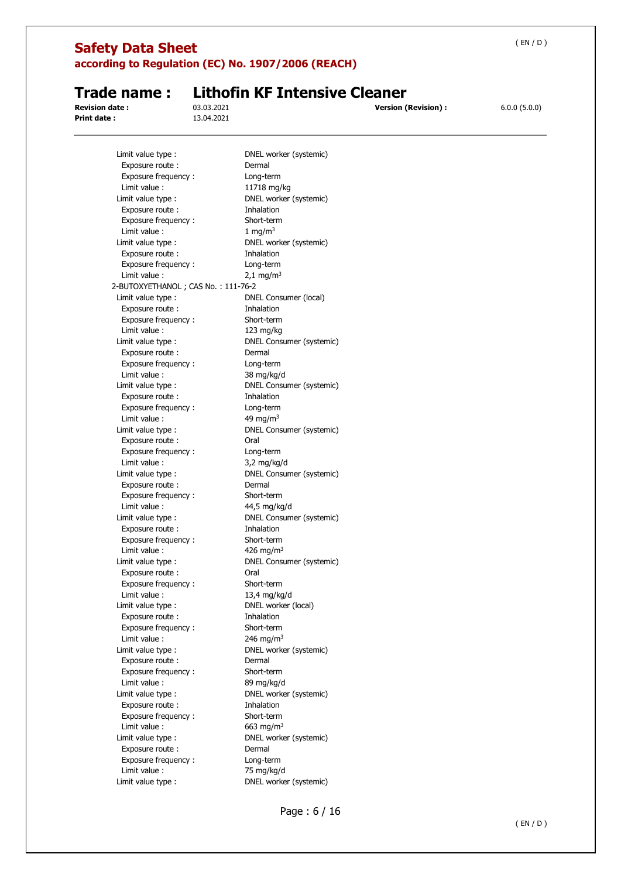| <b>Safety Data Sheet</b>               |                          | according to Regulation (EC) No. 1907/2006 (REACH) |                            | (EN/D)       |
|----------------------------------------|--------------------------|----------------------------------------------------|----------------------------|--------------|
|                                        |                          |                                                    |                            |              |
| Trade name :                           |                          | <b>Lithofin KF Intensive Cleaner</b>               |                            |              |
| <b>Revision date :</b><br>Print date : | 03.03.2021<br>13.04.2021 |                                                    | <b>Version (Revision):</b> | 6.0.0(5.0.0) |
|                                        |                          |                                                    |                            |              |
| Limit value type :                     |                          | DNEL worker (systemic)                             |                            |              |
| Exposure route:                        |                          | Dermal                                             |                            |              |
| Exposure frequency:                    |                          | Long-term                                          |                            |              |
| Limit value:                           |                          | 11718 mg/kg                                        |                            |              |
| Limit value type :                     |                          | DNEL worker (systemic)                             |                            |              |
| Exposure route:<br>Exposure frequency: |                          | Inhalation<br>Short-term                           |                            |              |
| Limit value :                          |                          | 1 mg/m $3$                                         |                            |              |
| Limit value type :                     |                          | DNEL worker (systemic)                             |                            |              |
| Exposure route:                        |                          | Inhalation                                         |                            |              |
| Exposure frequency:                    |                          | Long-term                                          |                            |              |
| Limit value:                           |                          | $2,1$ mg/m <sup>3</sup>                            |                            |              |
| 2-BUTOXYETHANOL; CAS No.: 111-76-2     |                          |                                                    |                            |              |
| Limit value type :                     |                          | DNEL Consumer (local)                              |                            |              |
| Exposure route:                        |                          | Inhalation                                         |                            |              |
| Exposure frequency:                    |                          | Short-term                                         |                            |              |
| Limit value :                          |                          | 123 mg/kg                                          |                            |              |
| Limit value type :                     |                          | DNEL Consumer (systemic)                           |                            |              |
| Exposure route:                        |                          | Dermal                                             |                            |              |
| Exposure frequency:                    |                          | Long-term                                          |                            |              |
| Limit value:                           |                          | 38 mg/kg/d                                         |                            |              |
| Limit value type :                     |                          | DNEL Consumer (systemic)                           |                            |              |
| Exposure route:                        |                          | Inhalation                                         |                            |              |
| Exposure frequency:                    |                          | Long-term                                          |                            |              |
| Limit value:                           |                          | 49 mg/m $3$                                        |                            |              |
| Limit value type :                     |                          | DNEL Consumer (systemic)                           |                            |              |
| Exposure route :                       |                          | Oral                                               |                            |              |
| Exposure frequency:                    |                          | Long-term                                          |                            |              |
| Limit value :                          |                          | $3,2$ mg/kg/d                                      |                            |              |
| Limit value type :                     |                          | DNEL Consumer (systemic)                           |                            |              |
| Exposure route :                       |                          | Dermal                                             |                            |              |
| Exposure frequency:                    |                          | Short-term                                         |                            |              |
| Limit value:                           |                          | 44,5 mg/kg/d                                       |                            |              |
| Limit value type :                     |                          | DNEL Consumer (systemic)                           |                            |              |
| Exposure route:                        |                          | <b>Inhalation</b>                                  |                            |              |
| Exposure frequency:                    |                          | Short-term                                         |                            |              |
| Limit value :                          |                          | 426 mg/m <sup>3</sup>                              |                            |              |
| Limit value type :                     |                          | DNEL Consumer (systemic)                           |                            |              |
| Exposure route :                       |                          | Oral                                               |                            |              |
| Exposure frequency:                    |                          | Short-term                                         |                            |              |
| Limit value:                           |                          | 13,4 mg/kg/d                                       |                            |              |
| Limit value type:                      |                          | DNEL worker (local)                                |                            |              |
| Exposure route :                       |                          | Inhalation                                         |                            |              |
| Exposure frequency:                    |                          | Short-term                                         |                            |              |
| Limit value:                           |                          | 246 mg/m <sup>3</sup>                              |                            |              |
| Limit value type :<br>Exposure route : |                          | DNEL worker (systemic)<br>Dermal                   |                            |              |
| Exposure frequency:                    |                          | Short-term                                         |                            |              |
| Limit value:                           |                          | 89 mg/kg/d                                         |                            |              |
| Limit value type :                     |                          | DNEL worker (systemic)                             |                            |              |
| Exposure route :                       |                          | Inhalation                                         |                            |              |
| Exposure frequency:                    |                          | Short-term                                         |                            |              |
| Limit value :                          |                          | 663 mg/m <sup>3</sup>                              |                            |              |
| Limit value type :                     |                          | DNEL worker (systemic)                             |                            |              |
| Exposure route :                       |                          | Dermal                                             |                            |              |
| Exposure frequency:                    |                          | Long-term                                          |                            |              |
| Limit value :                          |                          | 75 mg/kg/d                                         |                            |              |
| Limit value type :                     |                          | DNEL worker (systemic)                             |                            |              |

L,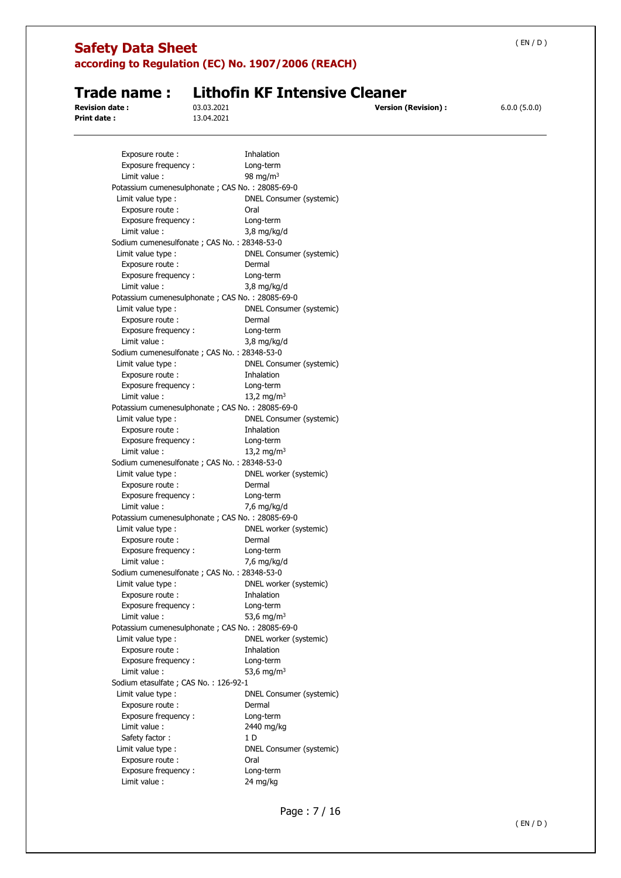| <b>Safety Data Sheet</b>                          |            |                                                    | (EN/D)       |
|---------------------------------------------------|------------|----------------------------------------------------|--------------|
|                                                   |            | according to Regulation (EC) No. 1907/2006 (REACH) |              |
| Trade name:                                       |            | <b>Lithofin KF Intensive Cleaner</b>               |              |
| <b>Revision date:</b>                             | 03.03.2021 | <b>Version (Revision):</b>                         | 6.0.0(5.0.0) |
| Print date:                                       | 13.04.2021 |                                                    |              |
|                                                   |            |                                                    |              |
| Exposure route :                                  |            | Inhalation                                         |              |
| Exposure frequency:                               |            | Long-term                                          |              |
| Limit value :                                     |            | 98 mg/m $3$                                        |              |
| Potassium cumenesulphonate ; CAS No. : 28085-69-0 |            |                                                    |              |
| Limit value type :                                |            | DNEL Consumer (systemic)                           |              |
| Exposure route :                                  |            | Oral                                               |              |
| Exposure frequency:                               |            | Long-term                                          |              |
| Limit value :                                     |            | $3,8$ mg/kg/d                                      |              |
| Sodium cumenesulfonate ; CAS No. : 28348-53-0     |            |                                                    |              |
| Limit value type:                                 |            | DNEL Consumer (systemic)                           |              |
| Exposure route :                                  |            | Dermal                                             |              |
| Exposure frequency:                               |            | Long-term                                          |              |
| Limit value :                                     |            | $3,8$ mg/kg/d                                      |              |
| Potassium cumenesulphonate ; CAS No. : 28085-69-0 |            | DNEL Consumer (systemic)                           |              |
| Limit value type :                                |            | Dermal                                             |              |
| Exposure route :                                  |            |                                                    |              |
| Exposure frequency:<br>Limit value:               |            | Long-term                                          |              |
|                                                   |            | $3,8$ mg/kg/d                                      |              |
| Sodium cumenesulfonate; CAS No.: 28348-53-0       |            |                                                    |              |
| Limit value type :<br>Exposure route :            |            | DNEL Consumer (systemic)<br>Inhalation             |              |
| Exposure frequency:                               |            |                                                    |              |
| Limit value:                                      |            | Long-term<br>13,2 mg/m <sup>3</sup>                |              |
| Potassium cumenesulphonate; CAS No.: 28085-69-0   |            |                                                    |              |
| Limit value type :                                |            | DNEL Consumer (systemic)                           |              |
| Exposure route :                                  |            | Inhalation                                         |              |
| Exposure frequency:                               |            | Long-term                                          |              |
| Limit value :                                     |            | 13,2 mg/m <sup>3</sup>                             |              |
| Sodium cumenesulfonate ; CAS No. : 28348-53-0     |            |                                                    |              |
| Limit value type:                                 |            | DNEL worker (systemic)                             |              |
| Exposure route :                                  |            | Dermal                                             |              |
| Exposure frequency:                               |            | Long-term                                          |              |
| Limit value :                                     |            | 7,6 mg/kg/d                                        |              |
| Potassium cumenesulphonate ; CAS No. : 28085-69-0 |            |                                                    |              |
| Limit value type :                                |            | DNEL worker (systemic)                             |              |
| Exposure route :                                  |            | Dermal                                             |              |
| Exposure frequency:                               |            | Long-term                                          |              |
| Limit value:                                      |            | 7,6 mg/kg/d                                        |              |
| Sodium cumenesulfonate; CAS No.: 28348-53-0       |            |                                                    |              |
| Limit value type :                                |            | DNEL worker (systemic)                             |              |
| Exposure route :                                  |            | Inhalation                                         |              |
| Exposure frequency:                               |            | Long-term                                          |              |
| Limit value :                                     |            | 53,6 mg/m <sup>3</sup>                             |              |
| Potassium cumenesulphonate ; CAS No. : 28085-69-0 |            |                                                    |              |
| Limit value type :                                |            | DNEL worker (systemic)                             |              |
| Exposure route :                                  |            | Inhalation                                         |              |
| Exposure frequency:                               |            | Long-term                                          |              |
| Limit value:                                      |            | 53,6 mg/m <sup>3</sup>                             |              |
| Sodium etasulfate ; CAS No.: 126-92-1             |            |                                                    |              |
| Limit value type :                                |            | DNEL Consumer (systemic)                           |              |
| Exposure route :                                  |            | Dermal                                             |              |
| Exposure frequency:                               |            | Long-term                                          |              |
| Limit value :                                     |            | 2440 mg/kg                                         |              |
| Safety factor:                                    |            | 1 D                                                |              |
| Limit value type :                                |            | DNEL Consumer (systemic)                           |              |
| Exposure route :                                  |            | Oral                                               |              |
| Exposure frequency:                               |            | Long-term                                          |              |
| Limit value:                                      |            | 24 mg/kg                                           |              |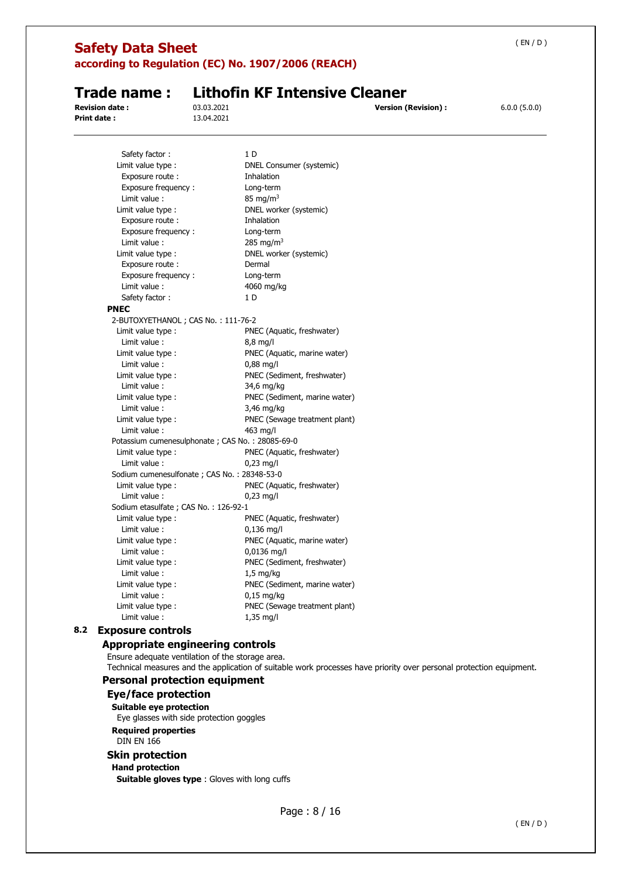#### **Safety Data Sheet according to Regulation (EC) No. 1907/2006 (REACH)**  ( EN / D ) **Trade name : Lithofin KF Intensive Cleaner Revision date :** 03.03.2021 **Version (Revision) :** 6.0.0 (5.0.0) **Print date :** 13.04.2021 Safety factor : 1 D Limit value type : DNEL Consumer (systemic) Exposure route : Inhalation Exposure frequency : Long-term Limit value : 85 mg/m<sup>3</sup> Limit value type : DNEL worker (systemic) Exposure route : Thhalation Exposure frequency : Long-term Limit value : 285 mg/m<sup>3</sup> Limit value type : DNEL worker (systemic) Exposure route : Dermal Exposure frequency : Long-term Limit value : 4060 mg/kg Safety factor : 1 D **PNEC**  2-BUTOXYETHANOL ; CAS No. : 111-76-2 Limit value type : PNEC (Aquatic, freshwater) Limit value : 8,8 mg/l Limit value type : PNEC (Aquatic, marine water) Limit value : 0,88 mg/l Limit value type : PNEC (Sediment, freshwater) Limit value : 34,6 mg/kg Limit value type : PNEC (Sediment, marine water) Limit value : 3,46 mg/kg Limit value type : PNEC (Sewage treatment plant) Limit value : 463 mg/l Potassium cumenesulphonate ; CAS No. : 28085-69-0 Limit value type : PNEC (Aquatic, freshwater) Limit value : 0,23 mg/l Sodium cumenesulfonate ; CAS No. : 28348-53-0 Limit value type : PNEC (Aquatic, freshwater) Limit value : 0,23 mg/l Sodium etasulfate ; CAS No. : 126-92-1 Limit value type : PNEC (Aquatic, freshwater) Limit value : 0,136 mg/l Limit value type : PNEC (Aquatic, marine water) Limit value : 0,0136 mg/l Limit value type : PNEC (Sediment, freshwater) Limit value : 1,5 mg/kg Limit value type : PNEC (Sediment, marine water) Limit value : 0,15 mg/kg Limit value type : PNEC (Sewage treatment plant) Limit value : 1,35 mg/l **8.2 Exposure controls Appropriate engineering controls**  Ensure adequate ventilation of the storage area. Technical measures and the application of suitable work processes have priority over personal protection equipment. **Personal protection equipment Eye/face protection Suitable eye protection**  Eye glasses with side protection goggles **Required properties**  DIN EN 166 **Skin protection Hand protection Suitable gloves type** : Gloves with long cuffs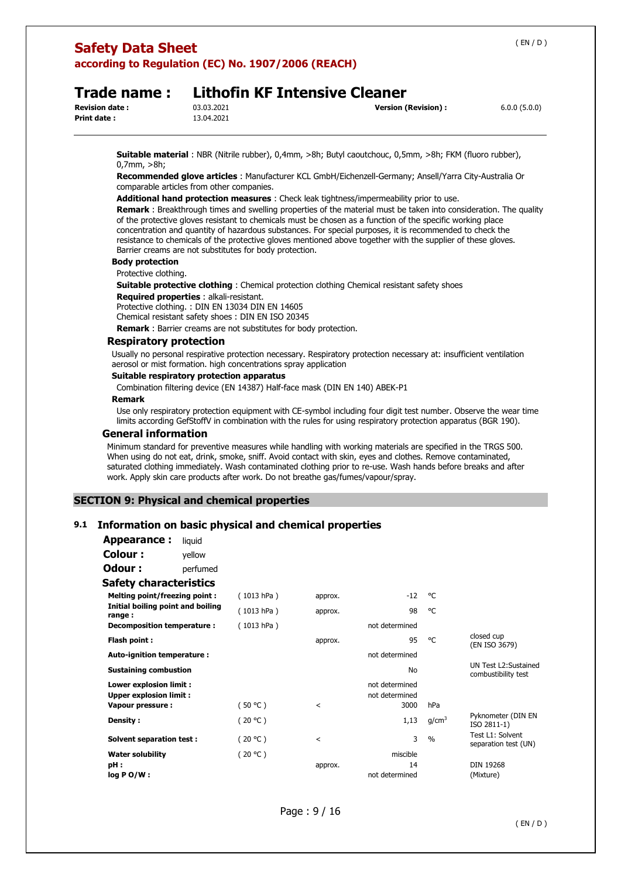### **Safety Data Sheet according to Regulation (EC) No. 1907/2006 (REACH)**

### **Trade name : Lithofin KF Intensive Cleaner**

**Print date :** 13.04.2021

**Revision date :** 03.03.2021 **Version (Revision) :** 6.0.0 (5.0.0)

**Suitable material** : NBR (Nitrile rubber), 0,4mm, >8h; Butyl caoutchouc, 0,5mm, >8h; FKM (fluoro rubber), 0,7mm, >8h;

**Recommended glove articles** : Manufacturer KCL GmbH/Eichenzell-Germany; Ansell/Yarra City-Australia Or comparable articles from other companies.

#### **Additional hand protection measures** : Check leak tightness/impermeability prior to use.

**Remark** : Breakthrough times and swelling properties of the material must be taken into consideration. The quality of the protective gloves resistant to chemicals must be chosen as a function of the specific working place concentration and quantity of hazardous substances. For special purposes, it is recommended to check the resistance to chemicals of the protective gloves mentioned above together with the supplier of these gloves. Barrier creams are not substitutes for body protection.

#### **Body protection**

Protective clothing.

**Suitable protective clothing** : Chemical protection clothing Chemical resistant safety shoes

#### **Required properties** : alkali-resistant.

Protective clothing. : DIN EN 13034 DIN EN 14605

Chemical resistant safety shoes : DIN EN ISO 20345

**Remark** : Barrier creams are not substitutes for body protection.

#### **Respiratory protection**

Usually no personal respirative protection necessary. Respiratory protection necessary at: insufficient ventilation aerosol or mist formation. high concentrations spray application

#### **Suitable respiratory protection apparatus**

Combination filtering device (EN 14387) Half-face mask (DIN EN 140) ABEK-P1

#### **Remark**

Use only respiratory protection equipment with CE-symbol including four digit test number. Observe the wear time limits according GefStoffV in combination with the rules for using respiratory protection apparatus (BGR 190).

#### **General information**

Minimum standard for preventive measures while handling with working materials are specified in the TRGS 500. When using do not eat, drink, smoke, sniff. Avoid contact with skin, eyes and clothes. Remove contaminated, saturated clothing immediately. Wash contaminated clothing prior to re-use. Wash hands before breaks and after work. Apply skin care products after work. Do not breathe gas/fumes/vapour/spray.

#### **SECTION 9: Physical and chemical properties**

#### **9.1 Information on basic physical and chemical properties**

| Appearance:                                              | liquid   |            |                |                                  |                   |                                              |
|----------------------------------------------------------|----------|------------|----------------|----------------------------------|-------------------|----------------------------------------------|
| Colour :                                                 | yellow   |            |                |                                  |                   |                                              |
| Odour :                                                  | perfumed |            |                |                                  |                   |                                              |
| <b>Safety characteristics</b>                            |          |            |                |                                  |                   |                                              |
| <b>Melting point/freezing point:</b>                     |          | (1013 hPa) | approx.        | $-12$                            | ۰c                |                                              |
| Initial boiling point and boiling<br>range:              |          | (1013 hPa) | approx.        | 98                               | °C                |                                              |
| Decomposition temperature :                              |          | (1013 hPa) |                | not determined                   |                   |                                              |
| Flash point:                                             |          |            | approx.        | 95                               | °C                | closed cup<br>(EN ISO 3679)                  |
| Auto-ignition temperature :                              |          |            |                | not determined                   |                   |                                              |
| <b>Sustaining combustion</b>                             |          |            |                | No                               |                   | UN Test L2: Sustained<br>combustibility test |
| Lower explosion limit :<br><b>Upper explosion limit:</b> |          |            |                | not determined<br>not determined |                   |                                              |
| Vapour pressure:                                         |          | (50 °C)    | $\,<\,$        | 3000                             | hPa               |                                              |
| Density:                                                 |          | (20 °C)    |                | 1,13                             | q/cm <sup>3</sup> | Pyknometer (DIN EN<br>ISO 2811-1)            |
| <b>Solvent separation test:</b>                          |          | (20 °C)    | $\overline{a}$ | 3                                | $\frac{0}{0}$     | Test L1: Solvent<br>separation test (UN)     |
| <b>Water solubility</b>                                  |          | (20 °C)    |                | miscible                         |                   |                                              |
| pH:                                                      |          |            | approx.        | 14                               |                   | <b>DIN 19268</b>                             |
| $log PO/W$ :                                             |          |            |                | not determined                   |                   | (Mixture)                                    |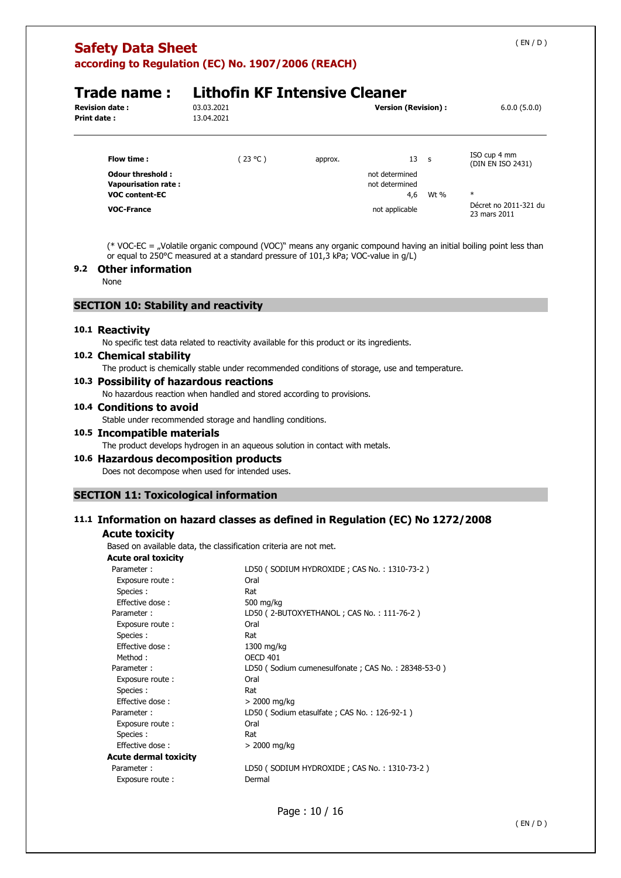**according to Regulation (EC) No. 1907/2006 (REACH)** 

| Trade name :                                   | <b>Lithofin KF Intensive Cleaner</b> |         |                                  |                                   |  |  |
|------------------------------------------------|--------------------------------------|---------|----------------------------------|-----------------------------------|--|--|
| <b>Revision date :</b>                         | 03.03.2021                           |         | <b>Version (Revision):</b>       | 6.0.0(5.0.0)                      |  |  |
| Print date :                                   | 13.04.2021                           |         |                                  |                                   |  |  |
| Flow time:                                     | (23 °C)                              | approx. | 13<br>$\mathsf{s}$               | ISO cup 4 mm<br>(DIN EN ISO 2431) |  |  |
| <b>Odour threshold:</b><br>Vapourisation rate: |                                      |         | not determined<br>not determined |                                   |  |  |

**VOC content-EC** 4,6 Wt % \*

(\* VOC-EC = "Volatile organic compound (VOC)" means any organic compound having an initial boiling point less than or equal to 250°C measured at a standard pressure of 101,3 kPa; VOC-value in g/L)

**VOC-France** Décret no 2011-321 du<br> **VOC-France** Décret no 2011-321 du

#### **9.2 Other information**

None

#### **SECTION 10: Stability and reactivity**

#### **10.1 Reactivity**

No specific test data related to reactivity available for this product or its ingredients.

#### **10.2 Chemical stability**

The product is chemically stable under recommended conditions of storage, use and temperature.

#### **10.3 Possibility of hazardous reactions**

No hazardous reaction when handled and stored according to provisions.

#### **10.4 Conditions to avoid**

Stable under recommended storage and handling conditions.

#### **10.5 Incompatible materials**

The product develops hydrogen in an aqueous solution in contact with metals.

#### **10.6 Hazardous decomposition products**

Does not decompose when used for intended uses.

#### **SECTION 11: Toxicological information**

#### **11.1 Information on hazard classes as defined in Regulation (EC) No 1272/2008**

#### **Acute toxicity**

Based on available data, the classification criteria are not met.

| <b>Acute oral toxicity</b>   |                                                    |
|------------------------------|----------------------------------------------------|
| Parameter:                   | LD50 (SODIUM HYDROXIDE; CAS No.: 1310-73-2)        |
| Exposure route:              | Oral                                               |
| Species :                    | Rat                                                |
| Effective dose:              | 500 mg/kg                                          |
| Parameter:                   | LD50 (2-BUTOXYETHANOL; CAS No.: 111-76-2)          |
| Exposure route:              | Oral                                               |
| Species :                    | Rat                                                |
| Effective dose:              | 1300 mg/kg                                         |
| Method:                      | <b>OECD 401</b>                                    |
| Parameter:                   | LD50 (Sodium cumenesulfonate; CAS No.: 28348-53-0) |
| Exposure route:              | Oral                                               |
| Species :                    | Rat                                                |
| <b>Effective dose:</b>       | > 2000 mg/kg                                       |
| Parameter:                   | LD50 (Sodium etasulfate; CAS No.: 126-92-1)        |
| Exposure route:              | Oral                                               |
| Species :                    | Rat                                                |
| Effective dose:              | > 2000 mg/kg                                       |
| <b>Acute dermal toxicity</b> |                                                    |
| Parameter:                   | LD50 (SODIUM HYDROXIDE; CAS No.: 1310-73-2)        |
| Exposure route:              | Dermal                                             |
|                              |                                                    |

Page : 10 / 16

( EN / D )

23 mars 2011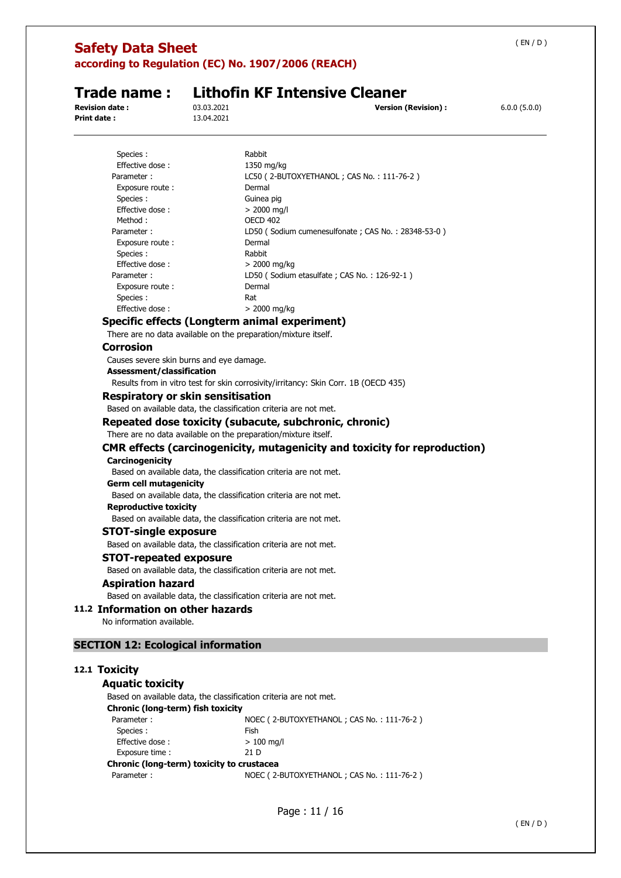**according to Regulation (EC) No. 1907/2006 (REACH)** 

**Print date :** 13.04.2021

# **Trade name : Lithofin KF Intensive Cleaner**<br>**Revision date :** 03.03.2021

**Version (Revision) :**  $6.0.0 (5.0.0)$ 

| Species :       | Rabbit                                              |
|-----------------|-----------------------------------------------------|
| Effective dose: | 1350 mg/kg                                          |
| Parameter:      | LC50 (2-BUTOXYETHANOL; CAS No.: 111-76-2)           |
| Exposure route: | Dermal                                              |
| Species :       | Guinea pig                                          |
| Effective dose: | $> 2000$ mg/l                                       |
| Method:         | <b>OECD 402</b>                                     |
| Parameter:      | LD50 (Sodium cumenesulfonate ; CAS No.: 28348-53-0) |
| Exposure route: | Dermal                                              |
| Species :       | Rabbit                                              |
| Effective dose: | $> 2000$ mg/kg                                      |
| Parameter :     | LD50 (Sodium etasulfate ; CAS No.: 126-92-1)        |
| Exposure route: | Dermal                                              |
| Species :       | Rat                                                 |
| Effective dose: | $>$ 2000 mg/kg                                      |
|                 |                                                     |

#### **Specific effects (Longterm animal experiment)**

There are no data available on the preparation/mixture itself.

#### **Corrosion**

Causes severe skin burns and eye damage.

#### **Assessment/classification**

Results from in vitro test for skin corrosivity/irritancy: Skin Corr. 1B (OECD 435)

#### **Respiratory or skin sensitisation**

Based on available data, the classification criteria are not met.

#### **Repeated dose toxicity (subacute, subchronic, chronic)**

#### There are no data available on the preparation/mixture itself.

#### **CMR effects (carcinogenicity, mutagenicity and toxicity for reproduction)**

#### **Carcinogenicity**

Based on available data, the classification criteria are not met.

#### **Germ cell mutagenicity**

Based on available data, the classification criteria are not met.

**Reproductive toxicity**  Based on available data, the classification criteria are not met.

#### **STOT-single exposure**

Based on available data, the classification criteria are not met.

#### **STOT-repeated exposure**

Based on available data, the classification criteria are not met.

#### **Aspiration hazard**

Based on available data, the classification criteria are not met.

#### **11.2 Information on other hazards**

No information available.

#### **SECTION 12: Ecological information**

#### **12.1 Toxicity**

#### **Aquatic toxicity**

Based on available data, the classification criteria are not met.

**Chronic (long-term) fish toxicity** 

| Parameter:                                | NOEC (2-BUTOXYETHANOL; CAS No.: 111-76-2) |
|-------------------------------------------|-------------------------------------------|
| Species :                                 | Fish                                      |
| Effective dose:                           | $> 100$ mg/l                              |
| Exposure time:                            | 21 D                                      |
| Chronic (long-term) toxicity to crustacea |                                           |
| Parameter:                                | NOEC (2-BUTOXYETHANOL; CAS No.: 111-76-2) |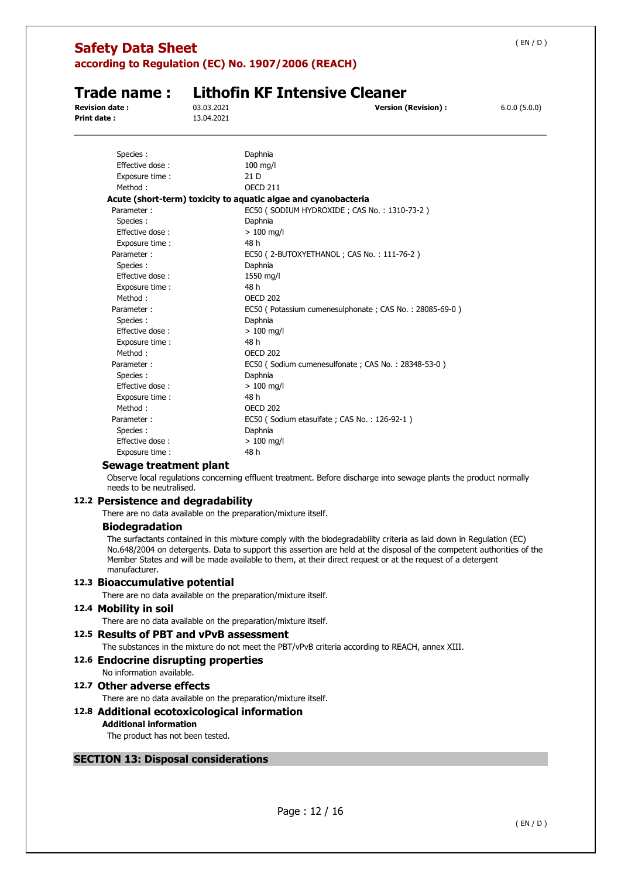| <b>Safety Data Sheet</b><br>according to Regulation (EC) No. 1907/2006 (REACH) |                          |                                                                                                                    |              |  |
|--------------------------------------------------------------------------------|--------------------------|--------------------------------------------------------------------------------------------------------------------|--------------|--|
| Trade name:<br><b>Revision date:</b><br><b>Print date:</b>                     | 03.03.2021<br>13.04.2021 | <b>Lithofin KF Intensive Cleaner</b><br><b>Version (Revision):</b>                                                 | 6.0.0(5.0.0) |  |
| Species:<br>Effective dose:<br>Exposure time:<br>Method:                       |                          | Daphnia<br>$100$ mg/l<br>21 D<br><b>OECD 211</b><br>Acute (short-term) toxicity to aquatic algae and cyanobacteria |              |  |
| Parameter:<br>Species :<br>Effective dose:<br>Exposure time:                   |                          | EC50 (SODIUM HYDROXIDE; CAS No.: 1310-73-2)<br>Daphnia<br>$>100$ mg/l<br>48 h                                      |              |  |
| Parameter:<br>Species :<br>Effective dose:<br>Exposure time:                   |                          | EC50 (2-BUTOXYETHANOL; CAS No.: 111-76-2)<br>Daphnia<br>1550 mg/l<br>48 h                                          |              |  |
| Method:<br>Parameter:<br>Species :                                             |                          | <b>OECD 202</b><br>EC50 (Potassium cumenesulphonate; CAS No.: 28085-69-0)<br>Daphnia                               |              |  |
| Effective dose:<br>Exposure time:<br>Method:<br>Parameter:                     |                          | $>100$ mg/l<br>48 h<br><b>OECD 202</b><br>EC50 (Sodium cumenesulfonate ; CAS No.: 28348-53-0)                      |              |  |
| Species :<br>Effective dose:<br>Exposure time:<br>Method:                      |                          | Daphnia<br>$>100$ mg/l<br>48 h<br><b>OECD 202</b>                                                                  |              |  |
| Parameter:<br>Species :<br>Effective dose:                                     |                          | EC50 (Sodium etasulfate; CAS No.: 126-92-1)<br>Daphnia<br>$>100$ mg/l                                              |              |  |
| Exposure time :<br>Sewage treatment plant                                      |                          | 48 h                                                                                                               |              |  |

Observe local regulations concerning effluent treatment. Before discharge into sewage plants the product normally needs to be neutralised.

### **12.2 Persistence and degradability**

There are no data available on the preparation/mixture itself.

### **Biodegradation**

The surfactants contained in this mixture comply with the biodegradability criteria as laid down in Regulation (EC) No.648/2004 on detergents. Data to support this assertion are held at the disposal of the competent authorities of the Member States and will be made available to them, at their direct request or at the request of a detergent manufacturer.

### **12.3 Bioaccumulative potential**

There are no data available on the preparation/mixture itself.

### **12.4 Mobility in soil**

There are no data available on the preparation/mixture itself.

### **12.5 Results of PBT and vPvB assessment**

The substances in the mixture do not meet the PBT/vPvB criteria according to REACH, annex XIII.

### **12.6 Endocrine disrupting properties**

## No information available.

### **12.7 Other adverse effects**

There are no data available on the preparation/mixture itself.

### **12.8 Additional ecotoxicological information**

### **Additional information**

The product has not been tested.

### **SECTION 13: Disposal considerations**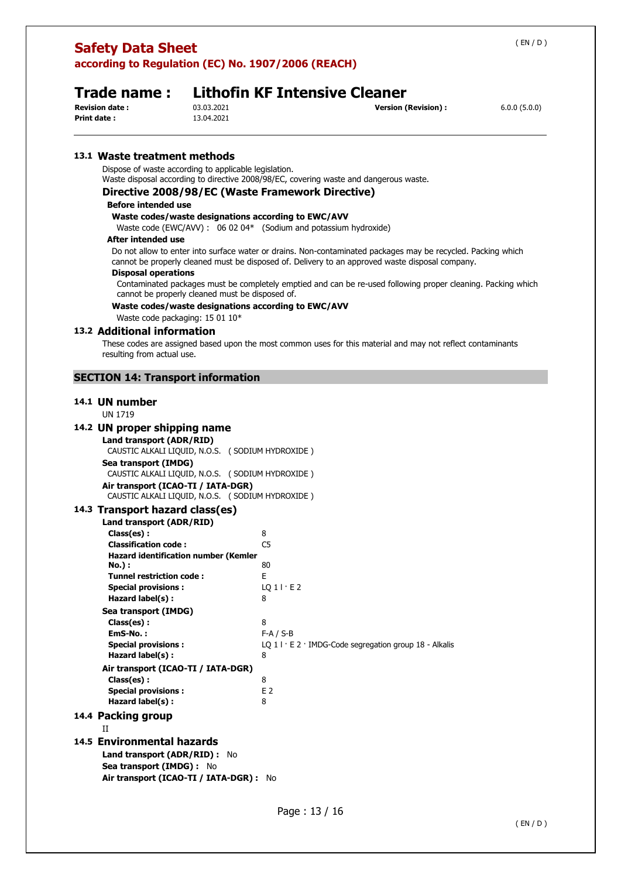**according to Regulation (EC) No. 1907/2006 (REACH)** 

# **Trade name : Lithofin KF Intensive Cleaner**<br>**Revision date :** 03.03.2021

**Print date :** 13.04.2021

**Revision (Revision) : CONCERCITED 6.0.0 (5.0.0) Version (Revision) :** 6.0.0 (5.0.0)

#### **13.1 Waste treatment methods**

Dispose of waste according to applicable legislation.

Waste disposal according to directive 2008/98/EC, covering waste and dangerous waste.

#### **Directive 2008/98/EC (Waste Framework Directive)**

#### **Before intended use**

**Waste codes/waste designations according to EWC/AVV** 

Waste code (EWC/AVV) : 06 02 04\* (Sodium and potassium hydroxide)

#### **After intended use**

Do not allow to enter into surface water or drains. Non-contaminated packages may be recycled. Packing which cannot be properly cleaned must be disposed of. Delivery to an approved waste disposal company.

#### **Disposal operations**

Contaminated packages must be completely emptied and can be re-used following proper cleaning. Packing which cannot be properly cleaned must be disposed of.

#### **Waste codes/waste designations according to EWC/AVV**

Waste code packaging: 15 01 10\*

#### **13.2 Additional information**

These codes are assigned based upon the most common uses for this material and may not reflect contaminants resulting from actual use.

#### **SECTION 14: Transport information**

#### **14.1 UN number**

UN 1719

#### **14.2 UN proper shipping name**

**Land transport (ADR/RID)**  CAUSTIC ALKALI LIQUID, N.O.S. ( SODIUM HYDROXIDE ) **Sea transport (IMDG)**  CAUSTIC ALKALI LIQUID, N.O.S. ( SODIUM HYDROXIDE ) **Air transport (ICAO-TI / IATA-DGR)**  CAUSTIC ALKALI LIQUID, N.O.S. ( SODIUM HYDROXIDE )

#### **14.3 Transport hazard class(es)**

**Sea transport (IMDG) :** No

**Air transport (ICAO-TI / IATA-DGR) :** No

| Land transport (ADR/RID)                    |                                                           |
|---------------------------------------------|-----------------------------------------------------------|
| Class(es):                                  | 8                                                         |
| <b>Classification code:</b>                 | C5                                                        |
| <b>Hazard identification number (Kemler</b> |                                                           |
| No.) :                                      | 80                                                        |
| <b>Tunnel restriction code:</b>             | F.                                                        |
| <b>Special provisions:</b>                  | LO 1 I·E 2                                                |
| Hazard label(s):                            | 8                                                         |
| Sea transport (IMDG)                        |                                                           |
| Class(es):                                  | 8                                                         |
| EmS-No.:                                    | $F-A / S-B$                                               |
| <b>Special provisions:</b>                  | LQ $11 \cdot E2$ IMDG-Code segregation group 18 - Alkalis |
| Hazard label(s):                            | 8                                                         |
| Air transport (ICAO-TI / IATA-DGR)          |                                                           |
| Class(es):                                  | 8                                                         |
| <b>Special provisions:</b>                  | E <sub>2</sub>                                            |
| Hazard label(s):                            | 8                                                         |
| 14.4 Packing group                          |                                                           |
| П                                           |                                                           |
| 14.5 Environmental hazards                  |                                                           |
| Land transport (ADR/RID):<br>No             |                                                           |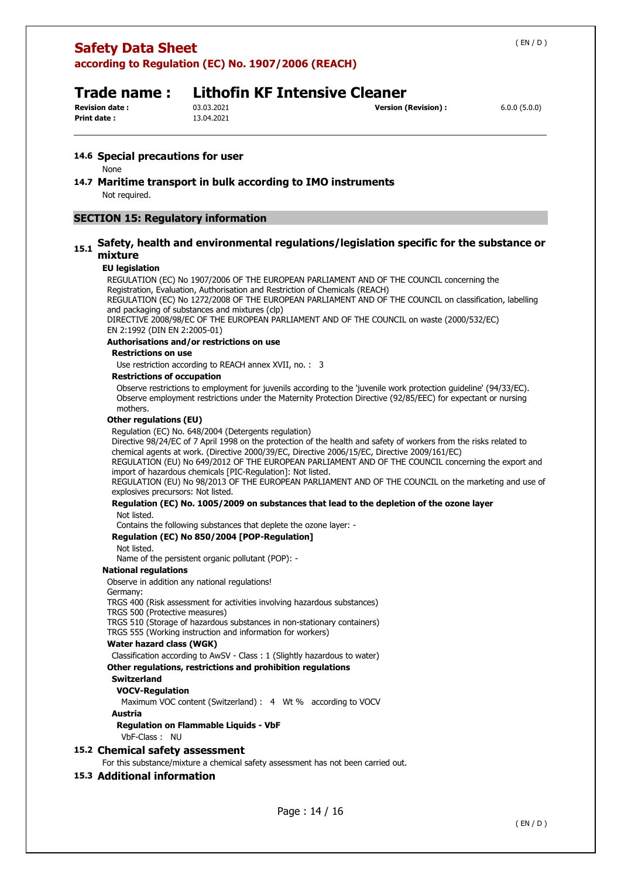# **Safety Data Sheet according to Regulation (EC) No. 1907/2006 (REACH)**  ( EN / D ) **Trade name : Lithofin KF Intensive Cleaner Revision date :** 03.03.2021 **Version (Revision) :** 6.0.0 (5.0.0) **Print date :** 13.04.2021 **14.6 Special precautions for user**  None **14.7 Maritime transport in bulk according to IMO instruments**  Not required. **SECTION 15: Regulatory information**

#### **15.1 Safety, health and environmental regulations/legislation specific for the substance or mixture**

#### **EU legislation**

REGULATION (EC) No 1907/2006 OF THE EUROPEAN PARLIAMENT AND OF THE COUNCIL concerning the Registration, Evaluation, Authorisation and Restriction of Chemicals (REACH) REGULATION (EC) No 1272/2008 OF THE EUROPEAN PARLIAMENT AND OF THE COUNCIL on classification, labelling and packaging of substances and mixtures (clp)

DIRECTIVE 2008/98/EC OF THE EUROPEAN PARLIAMENT AND OF THE COUNCIL on waste (2000/532/EC) EN 2:1992 (DIN EN 2:2005-01)

#### **Authorisations and/or restrictions on use**

#### **Restrictions on use**

Use restriction according to REACH annex XVII, no. : 3

#### **Restrictions of occupation**

Observe restrictions to employment for juvenils according to the 'juvenile work protection guideline' (94/33/EC). Observe employment restrictions under the Maternity Protection Directive (92/85/EEC) for expectant or nursing mothers.

#### **Other regulations (EU)**

Regulation (EC) No. 648/2004 (Detergents regulation)

Directive 98/24/EC of 7 April 1998 on the protection of the health and safety of workers from the risks related to chemical agents at work. (Directive 2000/39/EC, Directive 2006/15/EC, Directive 2009/161/EC)

REGULATION (EU) No 649/2012 OF THE EUROPEAN PARLIAMENT AND OF THE COUNCIL concerning the export and import of hazardous chemicals [PIC-Regulation]: Not listed.

REGULATION (EU) No 98/2013 OF THE EUROPEAN PARLIAMENT AND OF THE COUNCIL on the marketing and use of explosives precursors: Not listed.

#### **Regulation (EC) No. 1005/2009 on substances that lead to the depletion of the ozone layer**  Not listed.

Contains the following substances that deplete the ozone layer: -

#### **Regulation (EC) No 850/2004 [POP-Regulation]**

#### Not listed.

Name of the persistent organic pollutant (POP): -

#### **National regulations**

Observe in addition any national regulations!

#### Germany:

TRGS 400 (Risk assessment for activities involving hazardous substances) TRGS 500 (Protective measures)

TRGS 510 (Storage of hazardous substances in non-stationary containers)

TRGS 555 (Working instruction and information for workers)

#### **Water hazard class (WGK)**

Classification according to AwSV - Class : 1 (Slightly hazardous to water) **Other regulations, restrictions and prohibition regulations** 

#### **Switzerland**

**VOCV-Regulation** 

Maximum VOC content (Switzerland) : 4 Wt % according to VOCV **Austria** 

**Regulation on Flammable Liquids - VbF** 

VbF-Class : NU

#### **15.2 Chemical safety assessment**

For this substance/mixture a chemical safety assessment has not been carried out.

#### **15.3 Additional information**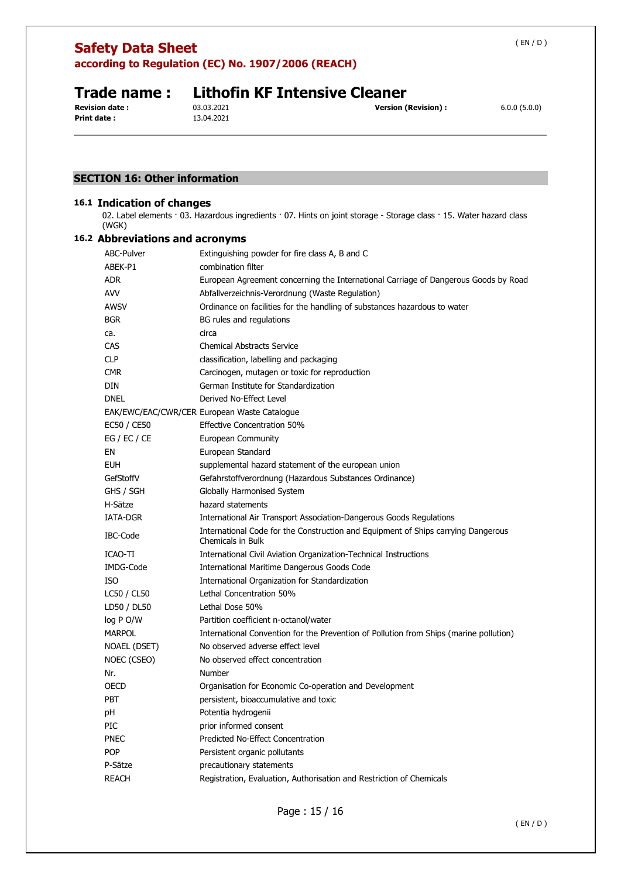**according to Regulation (EC) No. 1907/2006 (REACH)** 

**Print date :** 13.04.2021

# **Trade name : Lithofin KF Intensive Cleaner**<br>Revision date : 03.03.2021

### **SECTION 16: Other information**

#### **16.1 Indication of changes**

02. Label elements · 03. Hazardous ingredients · 07. Hints on joint storage - Storage class · 15. Water hazard class (WGK)

#### **16.2 Abbreviations and acronyms**

| ABC-Pulver      | Extinguishing powder for fire class A, B and C                                                         |
|-----------------|--------------------------------------------------------------------------------------------------------|
| ABEK-P1         | combination filter                                                                                     |
| <b>ADR</b>      | European Agreement concerning the International Carriage of Dangerous Goods by Road                    |
| <b>AVV</b>      | Abfallverzeichnis-Verordnung (Waste Regulation)                                                        |
| <b>AWSV</b>     | Ordinance on facilities for the handling of substances hazardous to water                              |
| <b>BGR</b>      | BG rules and regulations                                                                               |
| ca.             | circa                                                                                                  |
| CAS             | <b>Chemical Abstracts Service</b>                                                                      |
| <b>CLP</b>      | classification, labelling and packaging                                                                |
| <b>CMR</b>      | Carcinogen, mutagen or toxic for reproduction                                                          |
| DIN             | German Institute for Standardization                                                                   |
| <b>DNEL</b>     | Derived No-Effect Level                                                                                |
|                 | EAK/EWC/EAC/CWR/CER European Waste Catalogue                                                           |
| EC50 / CE50     | <b>Effective Concentration 50%</b>                                                                     |
| EG / EC / CE    | <b>European Community</b>                                                                              |
| ΕN              | European Standard                                                                                      |
| <b>EUH</b>      | supplemental hazard statement of the european union                                                    |
| GefStoffV       | Gefahrstoffverordnung (Hazardous Substances Ordinance)                                                 |
| GHS / SGH       | Globally Harmonised System                                                                             |
| H-Sätze         | hazard statements                                                                                      |
| <b>IATA-DGR</b> | International Air Transport Association-Dangerous Goods Regulations                                    |
| IBC-Code        | International Code for the Construction and Equipment of Ships carrying Dangerous<br>Chemicals in Bulk |
| ICAO-TI         | International Civil Aviation Organization-Technical Instructions                                       |
| IMDG-Code       | International Maritime Dangerous Goods Code                                                            |
| <b>ISO</b>      | International Organization for Standardization                                                         |
| LC50 / CL50     | Lethal Concentration 50%                                                                               |
| LD50 / DL50     | Lethal Dose 50%                                                                                        |
| log P O/W       | Partition coefficient n-octanol/water                                                                  |
| <b>MARPOL</b>   | International Convention for the Prevention of Pollution from Ships (marine pollution)                 |
| NOAEL (DSET)    | No observed adverse effect level                                                                       |
| NOEC (CSEO)     | No observed effect concentration                                                                       |
| Nr.             | Number                                                                                                 |
| OECD            | Organisation for Economic Co-operation and Development                                                 |
| <b>PBT</b>      | persistent, bioaccumulative and toxic                                                                  |
| рH              | Potentia hydrogenii                                                                                    |
| PIC             | prior informed consent                                                                                 |
| <b>PNEC</b>     | Predicted No-Effect Concentration                                                                      |
| <b>POP</b>      | Persistent organic pollutants                                                                          |
| P-Sätze         | precautionary statements                                                                               |
| <b>REACH</b>    | Registration, Evaluation, Authorisation and Restriction of Chemicals                                   |